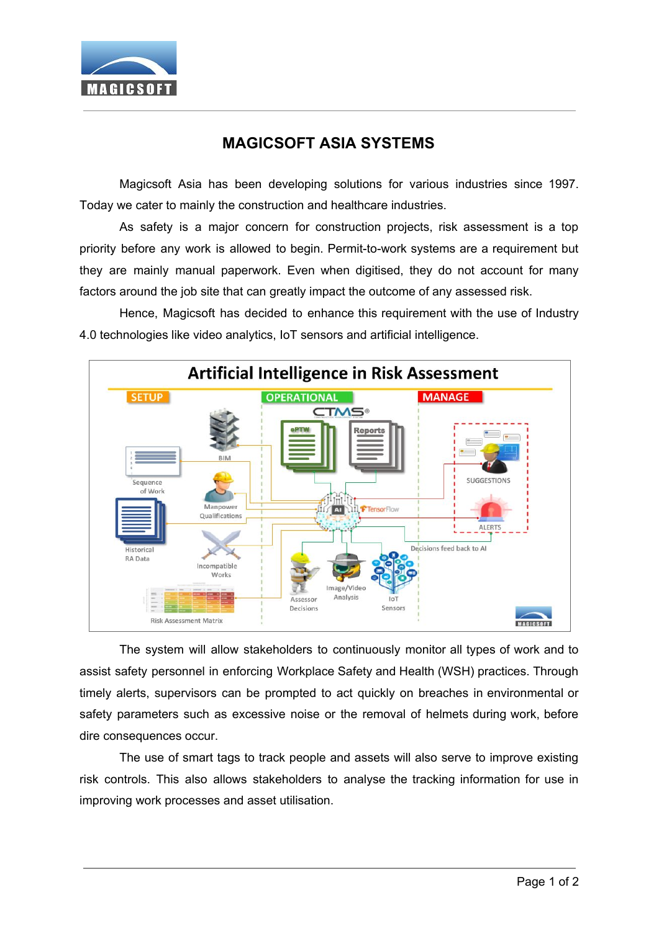

## **MAGICSOFT ASIA SYSTEMS**

Magicsoft Asia has been developing solutions for various industries since 1997. Today we cater to mainly the construction and healthcare industries.

As safety is a major concern for construction projects, risk assessment is a top priority before any work is allowed to begin. Permit-to-work systems are a requirement but they are mainly manual paperwork. Even when digitised, they do not account for many factors around the job site that can greatly impact the outcome of any assessed risk.

Hence, Magicsoft has decided to enhance this requirement with the use of Industry 4.0 technologies like video analytics, IoT sensors and artificial intelligence.



The system will allow stakeholders to continuously monitor all types of work and to assist safety personnel in enforcing Workplace Safety and Health (WSH) practices. Through timely alerts, supervisors can be prompted to act quickly on breaches in environmental or safety parameters such as excessive noise or the removal of helmets during work, before dire consequences occur.

The use of smart tags to track people and assets will also serve to improve existing risk controls. This also allows stakeholders to analyse the tracking information for use in improving work processes and asset utilisation.